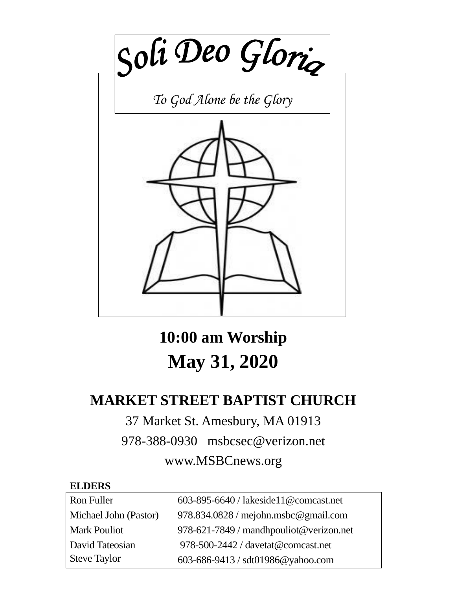

**10:00 am Worship May 31, 2020**

# **MARKET STREET BAPTIST CHURCH**

# 37 Market St. Amesbury, MA 01913

978-388-0930 [msbcsec@verizon.net](mailto:msgbcsec@verizon.net)

# [www.MSBCnews.org](http://www.msbcnews.org/)

#### **ELDERS**

| Ron Fuller            | 603-895-6640 / lakeside11@comcast.net   |
|-----------------------|-----------------------------------------|
| Michael John (Pastor) | $978.834.0828$ / mejohn.msbc@gmail.com  |
| <b>Mark Pouliot</b>   | 978-621-7849 / mandhpouliot@verizon.net |
| David Tateosian       | 978-500-2442 / davetat@comcast.net      |
| Steve Taylor          | 603-686-9413 / sdt01986@yahoo.com       |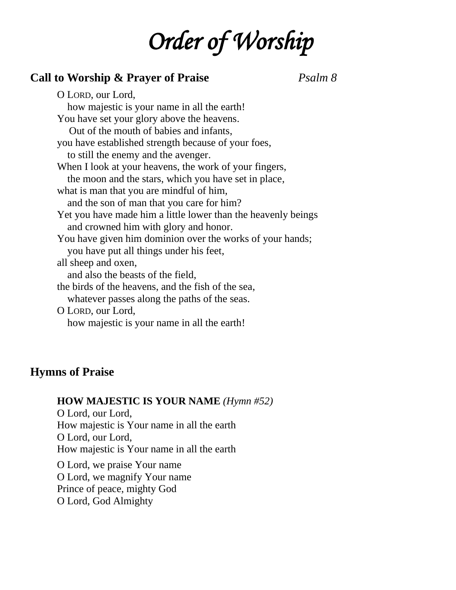# *Order of Worship*

### **Call to Worship & Prayer of Praise** *Psalm 8*

O LORD, our Lord, how majestic is your name in all the earth! You have set your glory above the heavens. Out of the mouth of babies and infants, you have established strength because of your foes, to still the enemy and the avenger. When I look at your heavens, the work of your fingers, the moon and the stars, which you have set in place, what is man that you are mindful of him, and the son of man that you care for him? Yet you have made him a little lower than the heavenly beings and crowned him with glory and honor. You have given him dominion over the works of your hands; you have put all things under his feet, all sheep and oxen, and also the beasts of the field, the birds of the heavens, and the fish of the sea, whatever passes along the paths of the seas. O LORD, our Lord, how majestic is your name in all the earth!

#### **Hymns of Praise**

#### **HOW MAJESTIC IS YOUR NAME** *(Hymn #52)*

O Lord, our Lord, How majestic is Your name in all the earth O Lord, our Lord, How majestic is Your name in all the earth

O Lord, we praise Your name O Lord, we magnify Your name Prince of peace, mighty God O Lord, God Almighty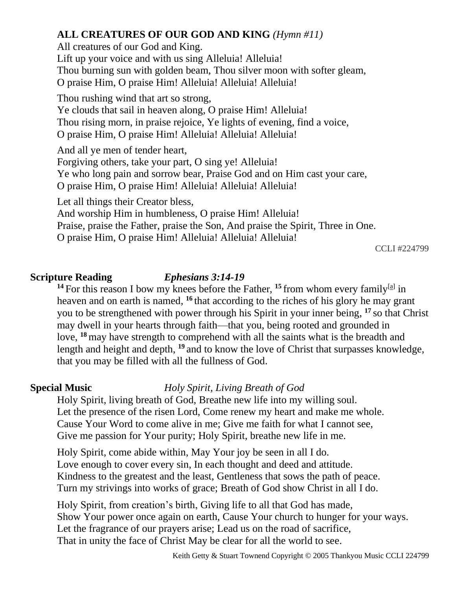### **ALL CREATURES OF OUR GOD AND KING** *(Hymn #11)*

All creatures of our God and King. Lift up your voice and with us sing Alleluia! Alleluia! Thou burning sun with golden beam, Thou silver moon with softer gleam, O praise Him, O praise Him! Alleluia! Alleluia! Alleluia!

Thou rushing wind that art so strong, Ye clouds that sail in heaven along, O praise Him! Alleluia! Thou rising morn, in praise rejoice, Ye lights of evening, find a voice, O praise Him, O praise Him! Alleluia! Alleluia! Alleluia!

And all ye men of tender heart, Forgiving others, take your part, O sing ye! Alleluia! Ye who long pain and sorrow bear, Praise God and on Him cast your care, O praise Him, O praise Him! Alleluia! Alleluia! Alleluia!

Let all things their Creator bless,

And worship Him in humbleness, O praise Him! Alleluia!

Praise, praise the Father, praise the Son, And praise the Spirit, Three in One.

O praise Him, O praise Him! Alleluia! Alleluia! Alleluia!

CCLI #224799

#### **Scripture Reading** *Ephesians 3:14-19*

<sup>14</sup> For this reason I bow my knees before the Father,  $^{15}$  from whom every family<sup>[\[a\]](https://www.biblegateway.com/passage/?search=Ephesians%203:14-21&version=ESV#fen-ESV-29250a)</sup> in heaven and on earth is named, **<sup>16</sup>** that according to the riches of his glory he may grant you to be strengthened with power through his Spirit in your inner being, **<sup>17</sup>** so that Christ may dwell in your hearts through faith—that you, being rooted and grounded in love, <sup>18</sup> may have strength to comprehend with all the saints what is the breadth and length and height and depth, <sup>19</sup> and to know the love of Christ that surpasses knowledge, that you may be filled with all the fullness of God.

## **Special Music** *Holy Spirit, Living Breath of God*

Holy Spirit, living breath of God, Breathe new life into my willing soul. Let the presence of the risen Lord, Come renew my heart and make me whole. Cause Your Word to come alive in me; Give me faith for what I cannot see, Give me passion for Your purity; Holy Spirit, breathe new life in me.

Holy Spirit, come abide within, May Your joy be seen in all I do. Love enough to cover every sin, In each thought and deed and attitude. Kindness to the greatest and the least, Gentleness that sows the path of peace. Turn my strivings into works of grace; Breath of God show Christ in all I do.

Holy Spirit, from creation's birth, Giving life to all that God has made, Show Your power once again on earth, Cause Your church to hunger for your ways. Let the fragrance of our prayers arise; Lead us on the road of sacrifice, That in unity the face of Christ May be clear for all the world to see.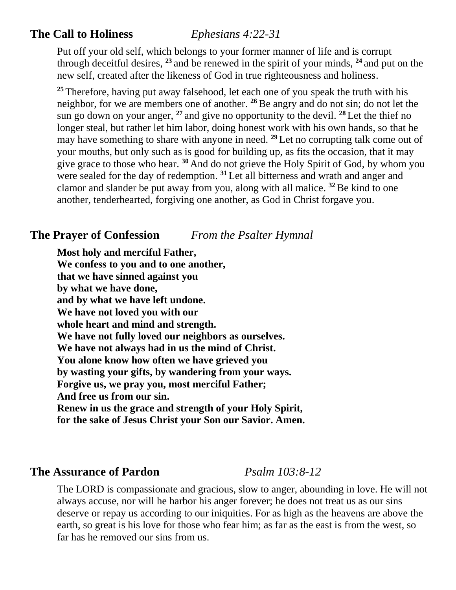# **The Call to Holiness** *Ephesians 4:22-31*

Put off your old self, which belongs to your former manner of life and is corrupt through deceitful desires, **<sup>23</sup>** and be renewed in the spirit of your minds, **<sup>24</sup>** and put on the new self, created after the likeness of God in true righteousness and holiness.

<sup>25</sup> Therefore, having put away falsehood, let each one of you speak the truth with his neighbor, for we are members one of another. **<sup>26</sup>**Be angry and do not sin; do not let the sun go down on your anger, **<sup>27</sup>** and give no opportunity to the devil. **<sup>28</sup>** Let the thief no longer steal, but rather let him labor, doing honest work with his own hands, so that he may have something to share with anyone in need. **<sup>29</sup>** Let no corrupting talk come out of your mouths, but only such as is good for building up, as fits the occasion, that it may give grace to those who hear. **<sup>30</sup>** And do not grieve the Holy Spirit of God, by whom you were sealed for the day of redemption. **<sup>31</sup>** Let all bitterness and wrath and anger and clamor and slander be put away from you, along with all malice. **<sup>32</sup>** Be kind to one another, tenderhearted, forgiving one another, as God in Christ forgave you.

# **The Prayer of Confession** *From the Psalter Hymnal*

**Most holy and merciful Father, We confess to you and to one another, that we have sinned against you by what we have done, and by what we have left undone. We have not loved you with our whole heart and mind and strength. We have not fully loved our neighbors as ourselves. We have not always had in us the mind of Christ. You alone know how often we have grieved you by wasting your gifts, by wandering from your ways. Forgive us, we pray you, most merciful Father; And free us from our sin. Renew in us the grace and strength of your Holy Spirit, for the sake of Jesus Christ your Son our Savior. Amen.**

#### **The Assurance of Pardon** *Psalm 103:8-12*

The LORD is compassionate and gracious, slow to anger, abounding in love. He will not always accuse, nor will he harbor his anger forever; he does not treat us as our sins deserve or repay us according to our iniquities. For as high as the heavens are above the earth, so great is his love for those who fear him; as far as the east is from the west, so far has he removed our sins from us.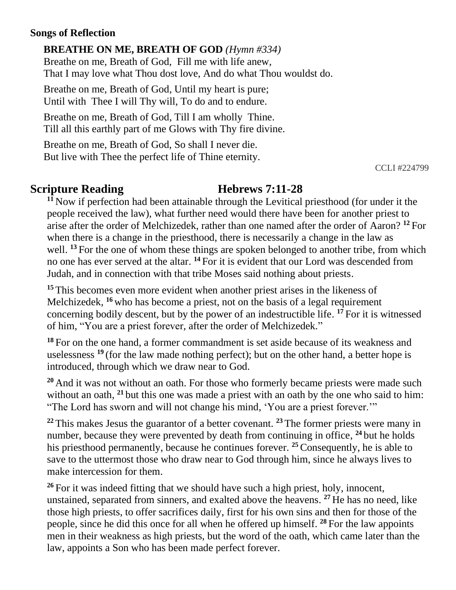#### **Songs of Reflection**

**BREATHE ON ME, BREATH OF GOD** *(Hymn #334)* Breathe on me, Breath of God, Fill me with life anew, That I may love what Thou dost love, And do what Thou wouldst do.

Breathe on me, Breath of God, Until my heart is pure; Until with Thee I will Thy will, To do and to endure.

Breathe on me, Breath of God, Till I am wholly Thine. Till all this earthly part of me Glows with Thy fire divine.

Breathe on me, Breath of God, So shall I never die. But live with Thee the perfect life of Thine eternity.

CCLI #224799

## **Scripture Reading Figure 1: Hebrews 7:11-28**

**<sup>11</sup>** Now if perfection had been attainable through the Levitical priesthood (for under it the people received the law), what further need would there have been for another priest to arise after the order of Melchizedek, rather than one named after the order of Aaron? **<sup>12</sup>** For when there is a change in the priesthood, there is necessarily a change in the law as well. <sup>13</sup> For the one of whom these things are spoken belonged to another tribe, from which no one has ever served at the altar. **<sup>14</sup>** For it is evident that our Lord was descended from Judah, and in connection with that tribe Moses said nothing about priests.

**<sup>15</sup>** This becomes even more evident when another priest arises in the likeness of Melchizedek, <sup>16</sup> who has become a priest, not on the basis of a legal requirement concerning bodily descent, but by the power of an indestructible life. **<sup>17</sup>** For it is witnessed of him, "You are a priest forever, after the order of Melchizedek."

**<sup>18</sup>** For on the one hand, a former commandment is set aside because of its weakness and uselessness <sup>19</sup> (for the law made nothing perfect); but on the other hand, a better hope is introduced, through which we draw near to God.

**<sup>20</sup>** And it was not without an oath. For those who formerly became priests were made such without an oath, <sup>21</sup> but this one was made a priest with an oath by the one who said to him: "The Lord has sworn and will not change his mind, 'You are a priest forever.'"

**<sup>22</sup>** This makes Jesus the guarantor of a better covenant. **<sup>23</sup>** The former priests were many in number, because they were prevented by death from continuing in office, **<sup>24</sup>** but he holds his priesthood permanently, because he continues forever. **<sup>25</sup>**Consequently, he is able to save to the uttermost those who draw near to God through him, since he always lives to make intercession for them.

<sup>26</sup> For it was indeed fitting that we should have such a high priest, holy, innocent, unstained, separated from sinners, and exalted above the heavens. **<sup>27</sup>** He has no need, like those high priests, to offer sacrifices daily, first for his own sins and then for those of the people, since he did this once for all when he offered up himself. **<sup>28</sup>** For the law appoints men in their weakness as high priests, but the word of the oath, which came later than the law, appoints a Son who has been made perfect forever.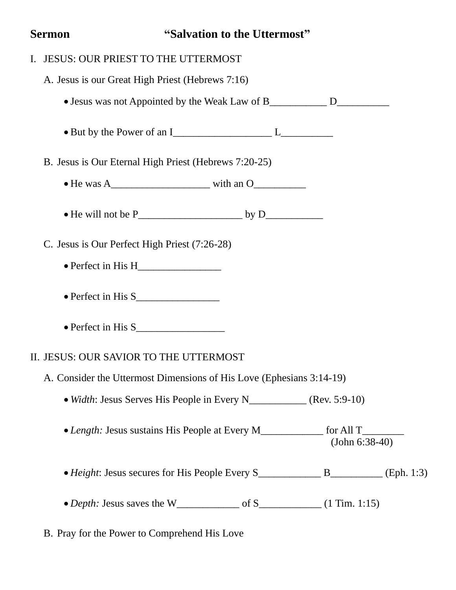# **Sermon** "Salvation to the Uttermost"

| I. | <b>JESUS: OUR PRIEST TO THE UTTERMOST</b>                                                        |
|----|--------------------------------------------------------------------------------------------------|
|    | A. Jesus is our Great High Priest (Hebrews 7:16)                                                 |
|    | • Jesus was not Appointed by the Weak Law of B________________ D________________                 |
|    |                                                                                                  |
|    | B. Jesus is Our Eternal High Priest (Hebrews 7:20-25)                                            |
|    |                                                                                                  |
|    |                                                                                                  |
|    | C. Jesus is Our Perfect High Priest (7:26-28)                                                    |
|    |                                                                                                  |
|    |                                                                                                  |
|    |                                                                                                  |
|    | II. JESUS: OUR SAVIOR TO THE UTTERMOST                                                           |
|    | A. Consider the Uttermost Dimensions of His Love (Ephesians 3:14-19)                             |
|    |                                                                                                  |
|    | • Length: Jesus sustains His People at Every M____________ for All T________<br>$(John 6:38-40)$ |
|    |                                                                                                  |
|    | • Depth: Jesus saves the W <sub>_______________</sub> of S____________ (1 Tim. 1:15)             |
|    |                                                                                                  |

B. Pray for the Power to Comprehend His Love